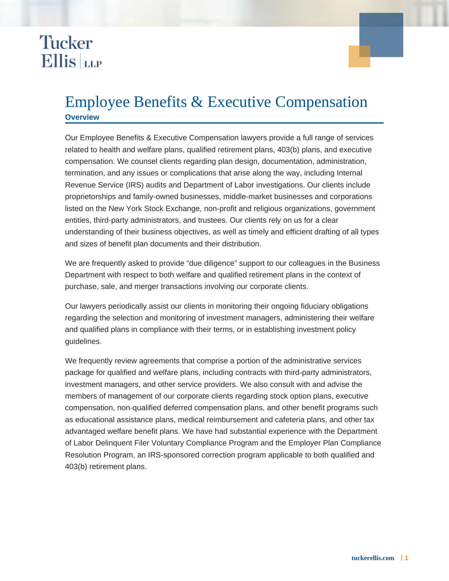## **Tucker Ellis** LLP

## Employee Benefits & Executive Compensation **Overview**

Our Employee Benefits & Executive Compensation lawyers provide a full range of services related to health and welfare plans, qualified retirement plans, 403(b) plans, and executive compensation. We counsel clients regarding plan design, documentation, administration, termination, and any issues or complications that arise along the way, including Internal Revenue Service (IRS) audits and Department of Labor investigations. Our clients include proprietorships and family-owned businesses, middle-market businesses and corporations listed on the New York Stock Exchange, non-profit and religious organizations, government entities, third-party administrators, and trustees. Our clients rely on us for a clear understanding of their business objectives, as well as timely and efficient drafting of all types and sizes of benefit plan documents and their distribution.

We are frequently asked to provide "due diligence" support to our colleagues in the Business Department with respect to both welfare and qualified retirement plans in the context of purchase, sale, and merger transactions involving our corporate clients.

Our lawyers periodically assist our clients in monitoring their ongoing fiduciary obligations regarding the selection and monitoring of investment managers, administering their welfare and qualified plans in compliance with their terms, or in establishing investment policy guidelines.

We frequently review agreements that comprise a portion of the administrative services package for qualified and welfare plans, including contracts with third-party administrators, investment managers, and other service providers. We also consult with and advise the members of management of our corporate clients regarding stock option plans, executive compensation, non-qualified deferred compensation plans, and other benefit programs such as educational assistance plans, medical reimbursement and cafeteria plans, and other tax advantaged welfare benefit plans. We have had substantial experience with the Department of Labor Delinquent Filer Voluntary Compliance Program and the Employer Plan Compliance Resolution Program, an IRS-sponsored correction program applicable to both qualified and 403(b) retirement plans.